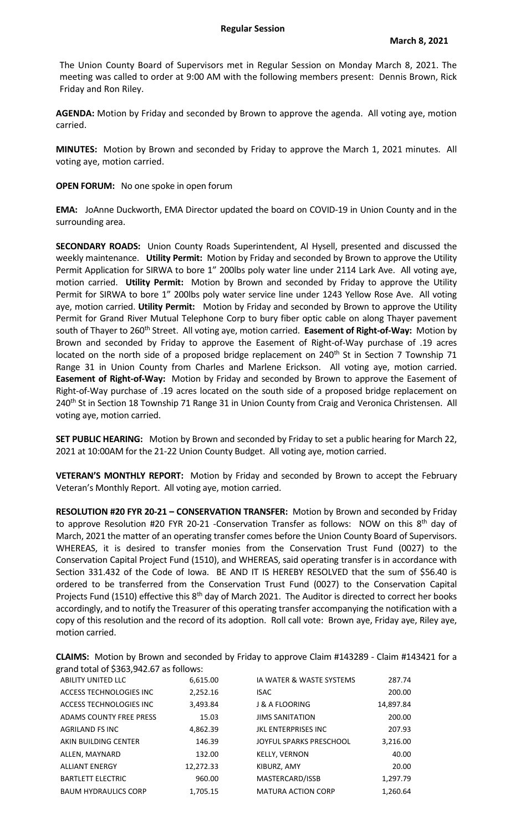The Union County Board of Supervisors met in Regular Session on Monday March 8, 2021. The meeting was called to order at 9:00 AM with the following members present: Dennis Brown, Rick Friday and Ron Riley.

**AGENDA:** Motion by Friday and seconded by Brown to approve the agenda. All voting aye, motion carried.

**MINUTES:** Motion by Brown and seconded by Friday to approve the March 1, 2021 minutes. All voting aye, motion carried.

**OPEN FORUM:** No one spoke in open forum

**EMA:** JoAnne Duckworth, EMA Director updated the board on COVID-19 in Union County and in the surrounding area.

**SECONDARY ROADS:** Union County Roads Superintendent, Al Hysell, presented and discussed the weekly maintenance. **Utility Permit:** Motion by Friday and seconded by Brown to approve the Utility Permit Application for SIRWA to bore 1" 200lbs poly water line under 2114 Lark Ave. All voting aye, motion carried. **Utility Permit:** Motion by Brown and seconded by Friday to approve the Utility Permit for SIRWA to bore 1" 200lbs poly water service line under 1243 Yellow Rose Ave. All voting aye, motion carried. **Utility Permit:** Motion by Friday and seconded by Brown to approve the Utility Permit for Grand River Mutual Telephone Corp to bury fiber optic cable on along Thayer pavement south of Thayer to 260<sup>th</sup> Street. All voting aye, motion carried. **Easement of Right-of-Way:** Motion by Brown and seconded by Friday to approve the Easement of Right-of-Way purchase of .19 acres located on the north side of a proposed bridge replacement on 240<sup>th</sup> St in Section 7 Township 71 Range 31 in Union County from Charles and Marlene Erickson. All voting aye, motion carried. **Easement of Right-of-Way:** Motion by Friday and seconded by Brown to approve the Easement of Right-of-Way purchase of .19 acres located on the south side of a proposed bridge replacement on 240<sup>th</sup> St in Section 18 Township 71 Range 31 in Union County from Craig and Veronica Christensen. All voting aye, motion carried.

**SET PUBLIC HEARING:** Motion by Brown and seconded by Friday to set a public hearing for March 22, 2021 at 10:00AM for the 21-22 Union County Budget. All voting aye, motion carried.

**VETERAN'S MONTHLY REPORT:** Motion by Friday and seconded by Brown to accept the February Veteran's Monthly Report. All voting aye, motion carried.

**RESOLUTION #20 FYR 20-21 – CONSERVATION TRANSFER:** Motion by Brown and seconded by Friday to approve Resolution #20 FYR 20-21 -Conservation Transfer as follows: NOW on this 8<sup>th</sup> day of March, 2021 the matter of an operating transfer comes before the Union County Board of Supervisors. WHEREAS, it is desired to transfer monies from the Conservation Trust Fund (0027) to the Conservation Capital Project Fund (1510), and WHEREAS, said operating transfer is in accordance with Section 331.432 of the Code of Iowa. BE AND IT IS HEREBY RESOLVED that the sum of \$56.40 is ordered to be transferred from the Conservation Trust Fund (0027) to the Conservation Capital Projects Fund (1510) effective this 8<sup>th</sup> day of March 2021. The Auditor is directed to correct her books accordingly, and to notify the Treasurer of this operating transfer accompanying the notification with a copy of this resolution and the record of its adoption. Roll call vote: Brown aye, Friday aye, Riley aye, motion carried.

ABILITY UNITED LLC **6,615.00** IA WATER & WASTE SYSTEMS 287.74 ACCESS TECHNOLOGIES INC 2,252.16 ISAC 200.00 ACCESS TECHNOLOGIES INC  $\begin{array}{ccc} 3.493.84 & \text{J} & \& \text{A FLOORING} \end{array}$  14.897.84 ADAMS COUNTY FREE PRESS 15.03 JIMS SANITATION 200.00 AGRILAND FS INC 4.862.39 IKL ENTERPRISES INC 207.93 AKIN BUILDING CENTER 146.39 JOYFUL SPARKS PRESCHOOL 3,216.00 ALLEN, MAYNARD 132.00 KELLY, VERNON 40.00 ALLIANT ENERGY 12,272.33 KIBURZ, AMY 20.00 BARTLETT ELECTRIC **800.00** MASTERCARD/ISSB 1,297.79 BAUM HYDRAULICS CORP 1,705.15 MATURA ACTION CORP 1,260.64

**CLAIMS:** Motion by Brown and seconded by Friday to approve Claim #143289 - Claim #143421 for a grand total of \$363,942.67 as follows: